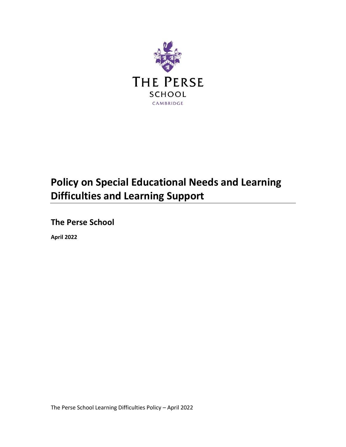

# **Policy on Special Educational Needs and Learning Difficulties and Learning Support**

**The Perse School**

**April 2022**

The Perse School Learning Difficulties Policy – April 2022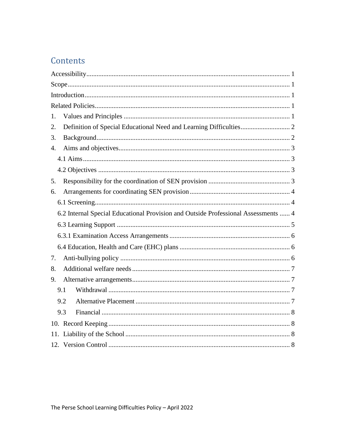## Contents

<span id="page-1-0"></span>

| 1.                                                                                 |  |  |
|------------------------------------------------------------------------------------|--|--|
| 2.                                                                                 |  |  |
| 3.                                                                                 |  |  |
| $\overline{4}$ .                                                                   |  |  |
|                                                                                    |  |  |
|                                                                                    |  |  |
| 5.                                                                                 |  |  |
| 6.                                                                                 |  |  |
|                                                                                    |  |  |
| 6.2 Internal Special Educational Provision and Outside Professional Assessments  4 |  |  |
|                                                                                    |  |  |
|                                                                                    |  |  |
|                                                                                    |  |  |
| 7.                                                                                 |  |  |
| 8.                                                                                 |  |  |
| 9.                                                                                 |  |  |
| 9.1                                                                                |  |  |
| 9.2                                                                                |  |  |
| 9.3                                                                                |  |  |
|                                                                                    |  |  |
|                                                                                    |  |  |
|                                                                                    |  |  |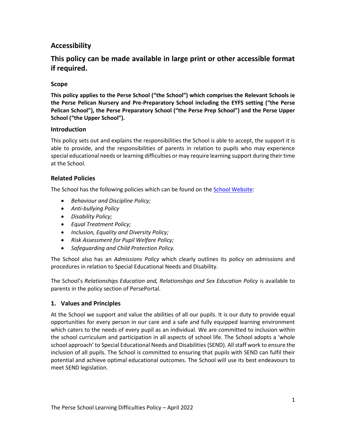## **Accessibility**

## **This policy can be made available in large print or other accessible format if required.**

#### <span id="page-2-0"></span>**Scope**

**This policy applies to the Perse School ("the School") which comprises the Relevant Schools ie the Perse Pelican Nursery and Pre-Preparatory School including the EYFS setting ("the Perse Pelican School"), the Perse Preparatory School ("the Perse Prep School") and the Perse Upper School ("the Upper School").**

#### <span id="page-2-1"></span>**Introduction**

This policy sets out and explains the responsibilities the School is able to accept, the support it is able to provide, and the responsibilities of parents in relation to pupils who may experience special educational needs or learning difficulties or may require learning support during their time at the School.

#### <span id="page-2-2"></span>**Related Policies**

The School has the following policies which can be found on the [School Website:](https://www.perse.co.uk/policies-inspection/)

- *Behaviour and Discipline Policy;*
- *Anti-bullying Policy*
- *Disability Policy;*
- *Equal Treatment Policy;*
- *Inclusion, Equality and Diversity Policy;*
- *Risk Assessment for Pupil Welfare Policy;*
- *Safeguarding and Child Protection Policy.*

The School also has an *Admissions Policy* which clearly outlines its policy on admissions and procedures in relation to Special Educational Needs and Disability.

The School's *Relationships Education and, Relationships and Sex Education Policy* is available to parents in the policy section of PersePortal.

#### <span id="page-2-3"></span>**1. Values and Principles**

At the School we support and value the abilities of all our pupils. It is our duty to provide equal opportunities for every person in our care and a safe and fully equipped learning environment which caters to the needs of every pupil as an individual. We are committed to inclusion within the school curriculum and participation in all aspects of school life. The School adopts a 'whole school approach' to Special Educational Needs and Disabilities (SEND). All staff work to ensure the inclusion of all pupils. The School is committed to ensuring that pupils with SEND can fulfil their potential and achieve optimal educational outcomes. The School will use its best endeavours to meet SEND legislation.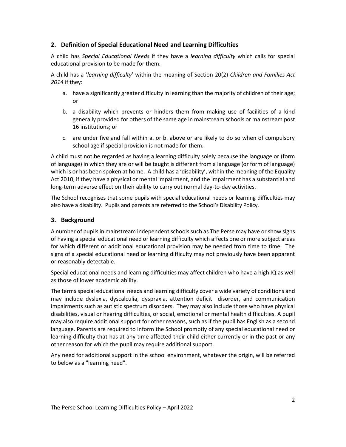#### <span id="page-3-0"></span>**2. Definition of Special Educational Need and Learning Difficulties**

A child has *Special Educational Needs* if they have a *learning difficulty* which calls for special educational provision to be made for them.

A child has a '*learning difficulty*' within the meaning of Section 20(2) *Children and Families Act 2014* if they:

- a. have a significantly greater difficulty in learning than the majority of children of their age; or
- b. a disability which prevents or hinders them from making use of facilities of a kind generally provided for others of the same age in mainstream schools or mainstream post 16 institutions; or
- c. are under five and fall within a. or b. above or are likely to do so when of compulsory school age if special provision is not made for them.

A child must not be regarded as having a learning difficulty solely because the language or (form of language) in which they are or will be taught is different from a language (or form of language) which is or has been spoken at home. A child has a 'disability', within the meaning of the Equality Act 2010, if they have a physical or mental impairment, and the impairment has a substantial and long-term adverse effect on their ability to carry out normal day-to-day activities.

The School recognises that some pupils with special educational needs or learning difficulties may also have a disability. Pupils and parents are referred to the School's Disability Policy.

#### <span id="page-3-1"></span>**3. Background**

A number of pupils in mainstream independent schools such as The Perse may have or show signs of having a special educational need or learning difficulty which affects one or more subject areas for which different or additional educational provision may be needed from time to time. The signs of a special educational need or learning difficulty may not previously have been apparent or reasonably detectable.

Special educational needs and learning difficulties may affect children who have a high IQ as well as those of lower academic ability.

The terms special educational needs and learning difficulty cover a wide variety of conditions and may include dyslexia, dyscalculia, dyspraxia, attention deficit disorder, and communication impairments such as autistic spectrum disorders. They may also include those who have physical disabilities, visual or hearing difficulties, or social, emotional or mental health difficulties. A pupil may also require additional support for other reasons, such as if the pupil has English as a second language. Parents are required to inform the School promptly of any special educational need or learning difficulty that has at any time affected their child either currently or in the past or any other reason for which the pupil may require additional support.

Any need for additional support in the school environment, whatever the origin, will be referred to below as a "learning need".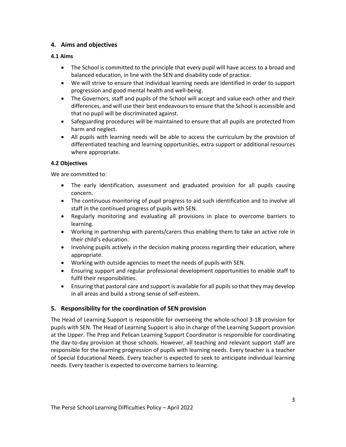#### <span id="page-4-0"></span>**4. Aims and objectives**

#### <span id="page-4-1"></span>**4.1 Aims**

- The School is committed to the principle that every pupil will have access to a broad and balanced education, in line with the SEN and disability code of practice.
- We will strive to ensure that individual learning needs are identified in order to support progression and good mental health and well-being.
- The Governors, staff and pupils of the School will accept and value each other and their differences, and will use their best endeavours to ensure that the School is accessible and that no pupil will be discriminated against.
- Safeguarding procedures will be maintained to ensure that all pupils are protected from harm and neglect.
- All pupils with learning needs will be able to access the curriculum by the provision of differentiated teaching and learning opportunities, extra support or additional resources where appropriate.

#### <span id="page-4-2"></span>**4.2 Objectives**

We are committed to:

- The early identification, assessment and graduated provision for all pupils causing concern.
- The continuous monitoring of pupil progress to aid such identification and to involve all staff in the continued progress of pupils with SEN.
- Regularly monitoring and evaluating all provisions in place to overcome barriers to learning.
- Working in partnership with parents/carers thus enabling them to take an active role in their child's education.
- Involving pupils actively in the decision making process regarding their education, where appropriate.
- Working with outside agencies to meet the needs of pupils with SEN.
- Ensuring support and regular professional development opportunities to enable staff to fulfil their responsibilities.
- Ensuring that pastoral care and support is available for all pupils so that they may develop in all areas and build a strong sense of self-esteem.

### <span id="page-4-3"></span>**5. Responsibility for the coordination of SEN provision**

The Head of Learning Support is responsible for overseeing the whole-school 3-18 provision for pupils with SEN. The Head of Learning Support is also in charge of the Learning Support provision at the Upper. The Prep and Pelican Learning Support Coordinator is responsible for coordinating the day-to-day provision at those schools. However, all teaching and relevant support staff are responsible for the learning progression of pupils with learning needs. Every teacher is a teacher of Special Educational Needs. Every teacher is expected to seek to anticipate individual learning needs. Every teacher is expected to overcome barriers to learning.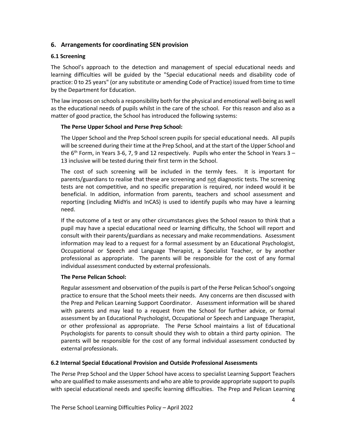#### <span id="page-5-0"></span>**6. Arrangements for coordinating SEN provision**

#### <span id="page-5-1"></span>**6.1 Screening**

The School's approach to the detection and management of special educational needs and learning difficulties will be guided by the "Special educational needs and disability code of practice: 0 to 25 years" (or any substitute or amending Code of Practice) issued from time to time by the Department for Education.

The law imposes on schools a responsibility both for the physical and emotional well-being as well as the educational needs of pupils whilst in the care of the school. For this reason and also as a matter of good practice, the School has introduced the following systems:

#### **The Perse Upper School and Perse Prep School:**

The Upper School and the Prep School screen pupils for special educational needs. All pupils will be screened during their time at the Prep School, and at the start of the Upper School and the  $6<sup>th</sup>$  Form, in Years 3-6, 7, 9 and 12 respectively. Pupils who enter the School in Years 3 – 13 inclusive will be tested during their first term in the School.

The cost of such screening will be included in the termly fees. It is important for parents/guardians to realise that these are screening and not diagnostic tests. The screening tests are not competitive, and no specific preparation is required, nor indeed would it be beneficial. In addition, information from parents, teachers and school assessment and reporting (including MidYis and InCAS) is used to identify pupils who may have a learning need.

If the outcome of a test or any other circumstances gives the School reason to think that a pupil may have a special educational need or learning difficulty, the School will report and consult with their parents/guardians as necessary and make recommendations. Assessment information may lead to a request for a formal assessment by an Educational Psychologist, Occupational or Speech and Language Therapist, a Specialist Teacher, or by another professional as appropriate. The parents will be responsible for the cost of any formal individual assessment conducted by external professionals.

#### **The Perse Pelican School:**

Regular assessment and observation of the pupils is part of the Perse Pelican School's ongoing practice to ensure that the School meets their needs. Any concerns are then discussed with the Prep and Pelican Learning Support Coordinator. Assessment information will be shared with parents and may lead to a request from the School for further advice, or formal assessment by an Educational Psychologist, Occupational or Speech and Language Therapist, or other professional as appropriate. The Perse School maintains a list of Educational Psychologists for parents to consult should they wish to obtain a third party opinion. The parents will be responsible for the cost of any formal individual assessment conducted by external professionals.

#### <span id="page-5-2"></span>**6.2 Internal Special Educational Provision and Outside Professional Assessments**

The Perse Prep School and the Upper School have access to specialist Learning Support Teachers who are qualified to make assessments and who are able to provide appropriate support to pupils with special educational needs and specific learning difficulties. The Prep and Pelican Learning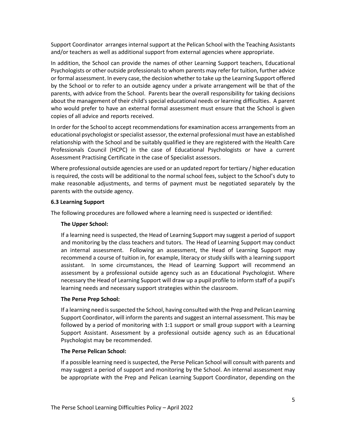Support Coordinator arranges internal support at the Pelican School with the Teaching Assistants and/or teachers as well as additional support from external agencies where appropriate.

In addition, the School can provide the names of other Learning Support teachers, Educational Psychologists or other outside professionals to whom parents may refer for tuition, further advice or formal assessment. In every case, the decision whether to take up the Learning Support offered by the School or to refer to an outside agency under a private arrangement will be that of the parents, with advice from the School. Parents bear the overall responsibility for taking decisions about the management of their child's special educational needs or learning difficulties. A parent who would prefer to have an external formal assessment must ensure that the School is given copies of all advice and reports received.

In order for the School to accept recommendations for examination access arrangements from an educational psychologist or specialist assessor, the external professional must have an established relationship with the School and be suitably qualified ie they are registered with the Health Care Professionals Council (HCPC) in the case of Educational Psychologists or have a current Assessment Practising Certificate in the case of Specialist assessors.

Where professional outside agencies are used or an updated report for tertiary / higher education is required, the costs will be additional to the normal school fees, subject to the School's duty to make reasonable adjustments, and terms of payment must be negotiated separately by the parents with the outside agency.

#### <span id="page-6-0"></span>**6.3 Learning Support**

The following procedures are followed where a learning need is suspected or identified:

#### **The Upper School:**

If a learning need is suspected, the Head of Learning Support may suggest a period of support and monitoring by the class teachers and tutors. The Head of Learning Support may conduct an internal assessment. Following an assessment, the Head of Learning Support may recommend a course of tuition in, for example, literacy or study skills with a learning support assistant. In some circumstances, the Head of Learning Support will recommend an assessment by a professional outside agency such as an Educational Psychologist. Where necessary the Head of Learning Support will draw up a pupil profile to inform staff of a pupil's learning needs and necessary support strategies within the classroom.

#### **The Perse Prep School:**

If a learning need is suspected the School, having consulted with the Prep and Pelican Learning Support Coordinator, will inform the parents and suggest an internal assessment. This may be followed by a period of monitoring with 1:1 support or small group support with a Learning Support Assistant. Assessment by a professional outside agency such as an Educational Psychologist may be recommended.

#### **The Perse Pelican School:**

If a possible learning need is suspected, the Perse Pelican School will consult with parents and may suggest a period of support and monitoring by the School. An internal assessment may be appropriate with the Prep and Pelican Learning Support Coordinator, depending on the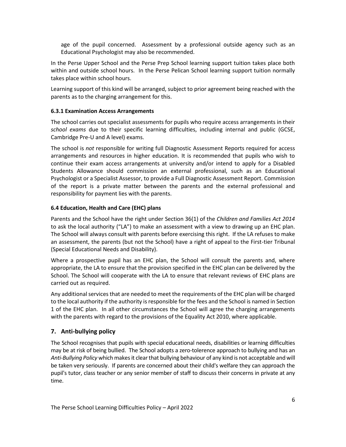age of the pupil concerned. Assessment by a professional outside agency such as an Educational Psychologist may also be recommended.

In the Perse Upper School and the Perse Prep School learning support tuition takes place both within and outside school hours. In the Perse Pelican School learning support tuition normally takes place within school hours.

Learning support of this kind will be arranged, subject to prior agreement being reached with the parents as to the charging arrangement for this.

#### <span id="page-7-0"></span>**6.3.1 Examination Access Arrangements**

The school carries out specialist assessments for pupils who require access arrangements in their *school exams* due to their specific learning difficulties, including internal and public (GCSE, Cambridge Pre-U and A level) exams.

The school is *not* responsible for writing full Diagnostic Assessment Reports required for access arrangements and resources in higher education. It is recommended that pupils who wish to continue their exam access arrangements at university and/or intend to apply for a Disabled Students Allowance should commission an external professional, such as an Educational Psychologist or a Specialist Assessor, to provide a Full Diagnostic Assessment Report. Commission of the report is a private matter between the parents and the external professional and responsibility for payment lies with the parents.

#### <span id="page-7-1"></span>**6.4 Education, Health and Care (EHC) plans**

Parents and the School have the right under Section 36(1) of the *Children and Families Act 2014* to ask the local authority ("LA") to make an assessment with a view to drawing up an EHC plan. The School will always consult with parents before exercising this right. If the LA refuses to make an assessment, the parents (but not the School) have a right of appeal to the First-tier Tribunal (Special Educational Needs and Disability).

Where a prospective pupil has an EHC plan, the School will consult the parents and, where appropriate, the LA to ensure that the provision specified in the EHC plan can be delivered by the School. The School will cooperate with the LA to ensure that relevant reviews of EHC plans are carried out as required.

Any additional services that are needed to meet the requirements of the EHC plan will be charged to the local authority if the authority is responsible for the fees and the School is named in Section 1 of the EHC plan. In all other circumstances the School will agree the charging arrangements with the parents with regard to the provisions of the Equality Act 2010, where applicable.

#### <span id="page-7-2"></span>**7. Anti-bullying policy**

The School recognises that pupils with special educational needs, disabilities or learning difficulties may be at risk of being bullied. The School adopts a zero-tolerence approach to bullying and has an *Anti-Bullying Policy* which makesit clear that bullying behaviour of any kind is not acceptable and will be taken very seriously. If parents are concerned about their child's welfare they can approach the pupil's tutor, class teacher or any senior member of staff to discuss their concerns in private at any time.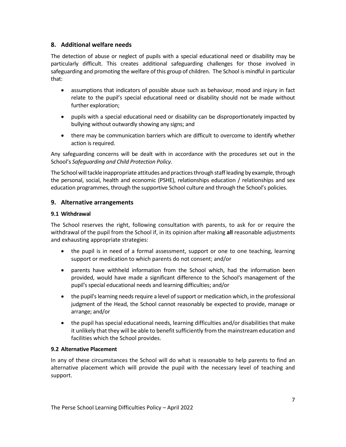#### <span id="page-8-0"></span>**8. Additional welfare needs**

The detection of abuse or neglect of pupils with a special educational need or disability may be particularly difficult. This creates additional safeguarding challenges for those involved in safeguarding and promoting the welfare of this group of children. The School is mindful in particular that:

- assumptions that indicators of possible abuse such as behaviour, mood and injury in fact relate to the pupil's special educational need or disability should not be made without further exploration;
- pupils with a special educational need or disability can be disproportionately impacted by bullying without outwardly showing any signs; and
- there may be communication barriers which are difficult to overcome to identify whether action is required.

Any safeguarding concerns will be dealt with in accordance with the procedures set out in the School's *Safeguarding and Child Protection Policy*.

The School will tackle inappropriate attitudes and practices through staff leading by example, through the personal, social, health and economic (PSHE), relationships education / relationships and sex education programmes, through the supportive School culture and through the School's policies.

#### <span id="page-8-1"></span>**9. Alternative arrangements**

#### <span id="page-8-2"></span>**9.1 Withdrawal**

The School reserves the right, following consultation with parents, to ask for or require the withdrawal of the pupil from the School if, in its opinion after making **all** reasonable adjustments and exhausting appropriate strategies:

- the pupil is in need of a formal assessment, support or one to one teaching, learning support or medication to which parents do not consent; and/or
- parents have withheld information from the School which, had the information been provided, would have made a significant difference to the School's management of the pupil's special educational needs and learning difficulties; and/or
- the pupil's learning needs require a level of support or medication which, in the professional judgment of the Head, the School cannot reasonably be expected to provide, manage or arrange; and/or
- the pupil has special educational needs, learning difficulties and/or disabilities that make it unlikely that they will be able to benefit sufficiently from the mainstream education and facilities which the School provides.

#### <span id="page-8-3"></span>**9.2 Alternative Placement**

<span id="page-8-4"></span>In any of these circumstances the School will do what is reasonable to help parents to find an alternative placement which will provide the pupil with the necessary level of teaching and support.